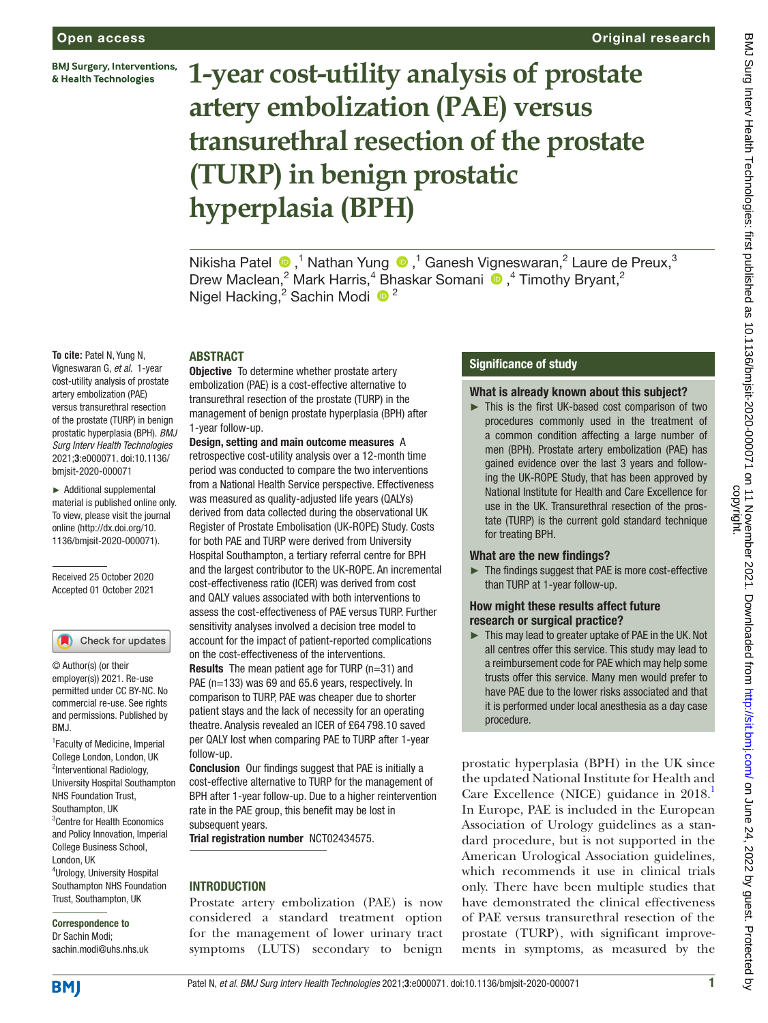**BMJ Surgery, Interventions,** & Health Technologies

# **1-year cost-utility analysis of prostate artery embolization (PAE) versus transurethral resection of the prostate (TURP) in benign prostatic hyperplasia (BPH)**

Nikisha Patel  $\bullet$ ,<sup>1</sup> Nathan Yung  $\bullet$ ,<sup>1</sup> Ganesh Vigneswaran,<sup>2</sup> Laure de Preux,<sup>3</sup> DrewMaclean,<sup>2</sup> Mark Harris,<sup>4</sup> Bhaskar Somani <sup>®</sup>,<sup>4</sup> Timothy Bryant,<sup>2</sup> Nigel Hacking,<sup>2</sup> Sachin Modi<sup>6</sup><sup>2</sup>

# ABSTRACT

Vigneswaran G, *et al*. 1-year cost-utility analysis of prostate artery embolization (PAE) versus transurethral resection of the prostate (TURP) in benign prostatic hyperplasia (BPH). *BMJ Surg Interv Health Technologies* 2021;3:e000071. doi:10.1136/ 1-year follow-up.

► Additional supplemental material is published online only. To view, please visit the journal online [\(http://dx.doi.org/10.](http://dx.doi.org/10.1136/bmjsit-2020-000071) [1136/bmjsit-2020-000071](http://dx.doi.org/10.1136/bmjsit-2020-000071)).

**To cite:** Patel N, Yung N,

bmjsit-2020-000071

Received 25 October 2020 Accepted 01 October 2021

#### Check for updates

© Author(s) (or their employer(s)) 2021. Re-use permitted under CC BY-NC. No commercial re-use. See rights and permissions. Published by RM<sub>J</sub>

1 Faculty of Medicine, Imperial College London, London, UK <sup>2</sup>Interventional Radiology, University Hospital Southampton NHS Foundation Trust, Southampton, UK 3 Centre for Health Economics and Policy Innovation, Imperial College Business School, London, UK 4 Urology, University Hospital Southampton NHS Foundation Trust, Southampton, UK

Correspondence to Dr Sachin Modi; sachin.modi@uhs.nhs.uk **Objective** To determine whether prostate artery embolization (PAE) is a cost-effective alternative to transurethral resection of the prostate (TURP) in the management of benign prostate hyperplasia (BPH) after

Design, setting and main outcome measures A retrospective cost-utility analysis over a 12-month time period was conducted to compare the two interventions from a National Health Service perspective. Effectiveness was measured as quality-adjusted life years (QALYs) derived from data collected during the observational UK Register of Prostate Embolisation (UK-ROPE) Study. Costs for both PAE and TURP were derived from University Hospital Southampton, a tertiary referral centre for BPH and the largest contributor to the UK-ROPE. An incremental cost-effectiveness ratio (ICER) was derived from cost and QALY values associated with both interventions to assess the cost-effectiveness of PAE versus TURP. Further sensitivity analyses involved a decision tree model to account for the impact of patient-reported complications on the cost-effectiveness of the interventions.

Results The mean patient age for TURP (n=31) and PAE (n=133) was 69 and 65.6 years, respectively. In comparison to TURP, PAE was cheaper due to shorter patient stays and the lack of necessity for an operating theatre. Analysis revealed an ICER of £64 798.10 saved per QALY lost when comparing PAE to TURP after 1-year follow-up.

Conclusion Our findings suggest that PAE is initially a cost-effective alternative to TURP for the management of BPH after 1-year follow-up. Due to a higher reintervention rate in the PAE group, this benefit may be lost in subsequent years.

Trial registration number <NCT02434575>.

#### **INTRODUCTION**

Prostate artery embolization (PAE) is now considered a standard treatment option for the management of lower urinary tract symptoms (LUTS) secondary to benign

#### Significance of study

#### What is already known about this subject?

Original research

► This is the first UK-based cost comparison of two procedures commonly used in the treatment of a common condition affecting a large number of men (BPH). Prostate artery embolization (PAE) has gained evidence over the last 3 years and following the UK-ROPE Study, that has been approved by National Institute for Health and Care Excellence for use in the UK. Transurethral resection of the prostate (TURP) is the current gold standard technique for treating BPH.

#### What are the new findings?

► The findings suggest that PAE is more cost-effective than TURP at 1-year follow-up.

#### How might these results affect future research or surgical practice?

► This may lead to greater uptake of PAE in the UK. Not all centres offer this service. This study may lead to a reimbursement code for PAE which may help some trusts offer this service. Many men would prefer to have PAE due to the lower risks associated and that it is performed under local anesthesia as a day case procedure.

prostatic hyperplasia (BPH) in the UK since the updated National Institute for Health and Care Excellence (NICE) guidance in 2018. In Europe, PAE is included in the European Association of Urology guidelines as a standard procedure, but is not supported in the American Urological Association guidelines, which recommends it use in clinical trials only. There have been multiple studies that have demonstrated the clinical effectiveness of PAE versus transurethral resection of the prostate (TURP), with significant improvements in symptoms, as measured by the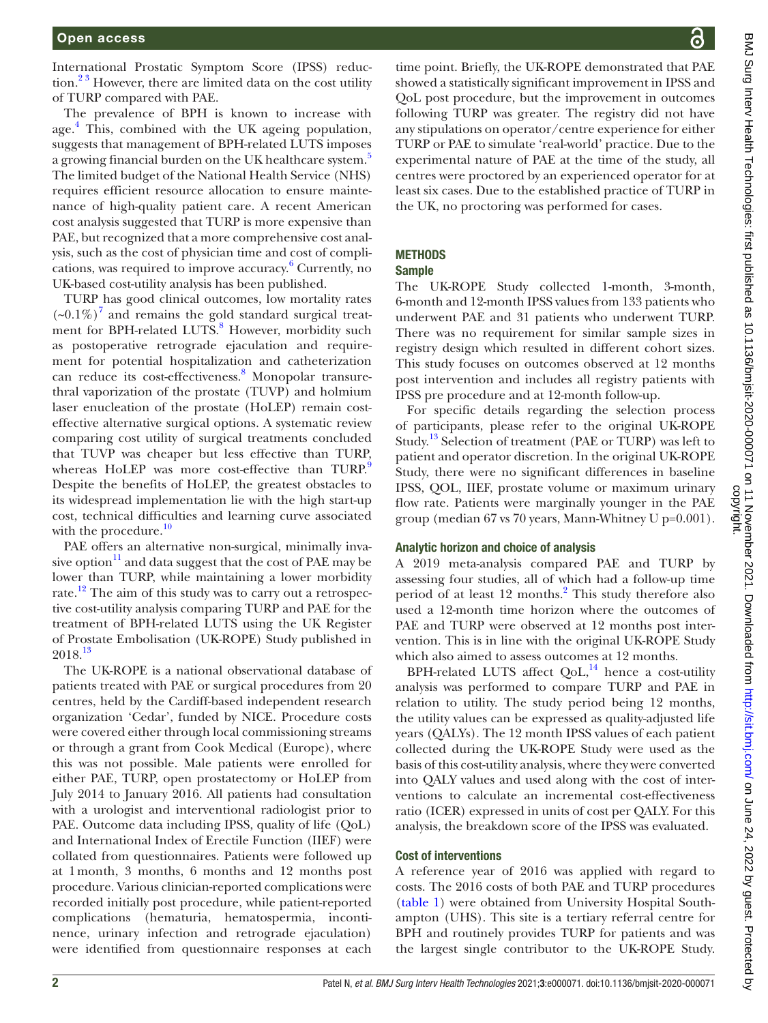International Prostatic Symptom Score (IPSS) reduc- $\frac{2^3}{3}$  However, there are limited data on the cost utility of TURP compared with PAE.

The prevalence of BPH is known to increase with age.<sup>[4](#page-8-2)</sup> This, combined with the UK ageing population, suggests that management of BPH-related LUTS imposes a growing financial burden on the UK healthcare system.<sup>[5](#page-8-3)</sup> The limited budget of the National Health Service (NHS) requires efficient resource allocation to ensure maintenance of high-quality patient care. A recent American cost analysis suggested that TURP is more expensive than PAE, but recognized that a more comprehensive cost analysis, such as the cost of physician time and cost of compli-cations, was required to improve accuracy.<sup>[6](#page-8-4)</sup> Currently, no UK-based cost-utility analysis has been published.

TURP has good clinical outcomes, low mortality rates  $(-0.1\%)$ <sup>[7](#page-8-5)</sup> and remains the gold standard surgical treat-ment for BPH-related LUTS.<sup>[8](#page-8-6)</sup> However, morbidity such as postoperative retrograde ejaculation and requirement for potential hospitalization and catheterization can reduce its cost-effectiveness.<sup>[8](#page-8-6)</sup> Monopolar transurethral vaporization of the prostate (TUVP) and holmium laser enucleation of the prostate (HoLEP) remain costeffective alternative surgical options. A systematic review comparing cost utility of surgical treatments concluded that TUVP was cheaper but less effective than TURP, whereas HoLEP was more cost-effective than TURP. Despite the benefits of HoLEP, the greatest obstacles to its widespread implementation lie with the high start-up cost, technical difficulties and learning curve associated with the procedure. $\frac{10}{2}$  $\frac{10}{2}$  $\frac{10}{2}$ 

PAE offers an alternative non-surgical, minimally invasive option $11$  and data suggest that the cost of PAE may be lower than TURP, while maintaining a lower morbidity rate.<sup>12</sup> The aim of this study was to carry out a retrospective cost-utility analysis comparing TURP and PAE for the treatment of BPH-related LUTS using the UK Register of Prostate Embolisation (UK-ROPE) Study published in 2018.[13](#page-8-11)

The UK-ROPE is a national observational database of patients treated with PAE or surgical procedures from 20 centres, held by the Cardiff-based independent research organization 'Cedar', funded by NICE. Procedure costs were covered either through local commissioning streams or through a grant from Cook Medical (Europe), where this was not possible. Male patients were enrolled for either PAE, TURP, open prostatectomy or HoLEP from July 2014 to January 2016. All patients had consultation with a urologist and interventional radiologist prior to PAE. Outcome data including IPSS, quality of life (QoL) and International Index of Erectile Function (IIEF) were collated from questionnaires. Patients were followed up at 1month, 3 months, 6 months and 12 months post procedure. Various clinician-reported complications were recorded initially post procedure, while patient-reported complications (hematuria, hematospermia, incontinence, urinary infection and retrograde ejaculation) were identified from questionnaire responses at each

time point. Briefly, the UK-ROPE demonstrated that PAE showed a statistically significant improvement in IPSS and QoL post procedure, but the improvement in outcomes following TURP was greater. The registry did not have any stipulations on operator/centre experience for either TURP or PAE to simulate 'real-world' practice. Due to the experimental nature of PAE at the time of the study, all centres were proctored by an experienced operator for at least six cases. Due to the established practice of TURP in the UK, no proctoring was performed for cases.

# **METHODS**

#### Sample

The UK-ROPE Study collected 1-month, 3-month, 6-month and 12-month IPSS values from 133 patients who underwent PAE and 31 patients who underwent TURP. There was no requirement for similar sample sizes in registry design which resulted in different cohort sizes. This study focuses on outcomes observed at 12 months post intervention and includes all registry patients with IPSS pre procedure and at 12-month follow-up.

For specific details regarding the selection process of participants, please refer to the original UK-ROPE Study.<sup>13</sup> Selection of treatment (PAE or TURP) was left to patient and operator discretion. In the original UK-ROPE Study, there were no significant differences in baseline IPSS, QOL, IIEF, prostate volume or maximum urinary flow rate. Patients were marginally younger in the PAE group (median 67 vs 70 years, Mann-Whitney U p=0.001).

# Analytic horizon and choice of analysis

A 2019 meta-analysis compared PAE and TURP by assessing four studies, all of which had a follow-up time period of at least 1[2](#page-8-1) months.<sup>2</sup> This study therefore also used a 12-month time horizon where the outcomes of PAE and TURP were observed at 12 months post intervention. This is in line with the original UK-ROPE Study which also aimed to assess outcomes at 12 months.

BPH-related LUTS affect  $QoL$ ,<sup>14</sup> hence a cost-utility analysis was performed to compare TURP and PAE in relation to utility. The study period being 12 months, the utility values can be expressed as quality-adjusted life years (QALYs). The 12 month IPSS values of each patient collected during the UK-ROPE Study were used as the basis of this cost-utility analysis, where they were converted into QALY values and used along with the cost of interventions to calculate an incremental cost-effectiveness ratio (ICER) expressed in units of cost per QALY. For this analysis, the breakdown score of the IPSS was evaluated.

# Cost of interventions

A reference year of 2016 was applied with regard to costs. The 2016 costs of both PAE and TURP procedures [\(table](#page-2-0) 1) were obtained from University Hospital Southampton (UHS). This site is a tertiary referral centre for BPH and routinely provides TURP for patients and was the largest single contributor to the UK-ROPE Study.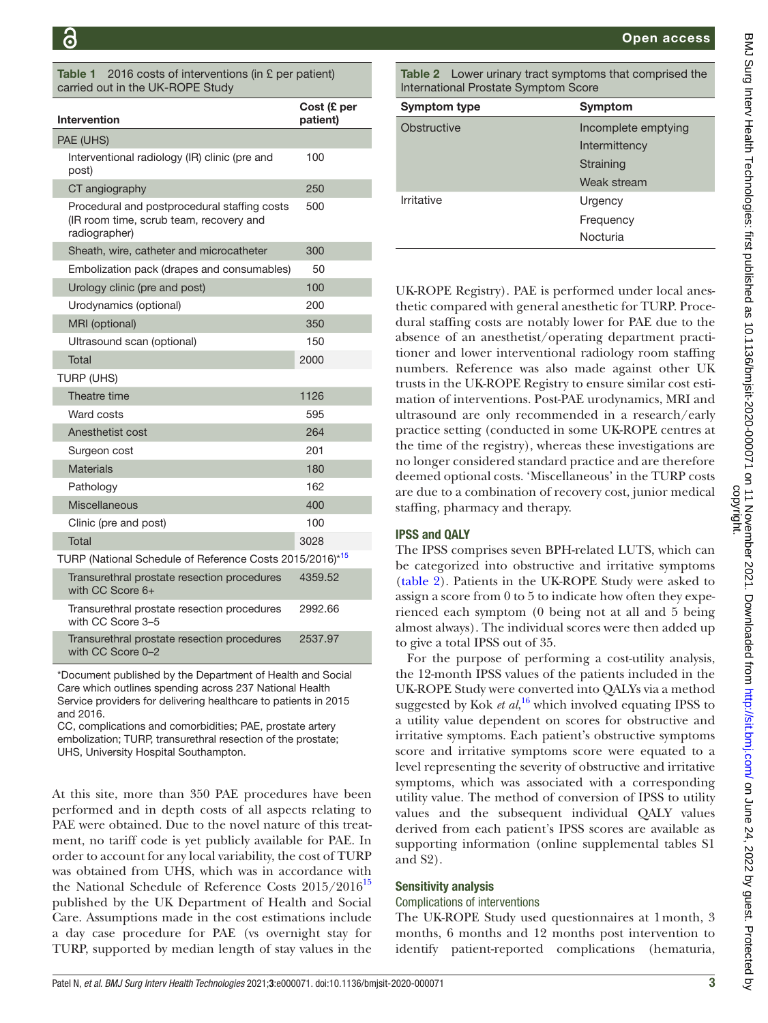<span id="page-2-0"></span>2016 costs of interventions (in  $E$  per patient) carried out in the UK-ROPE Study

| <b>Intervention</b>                                                                                      | Cost (£ per<br>patient) |  |  |  |  |  |
|----------------------------------------------------------------------------------------------------------|-------------------------|--|--|--|--|--|
| PAE (UHS)                                                                                                |                         |  |  |  |  |  |
| Interventional radiology (IR) clinic (pre and<br>post)                                                   | 100                     |  |  |  |  |  |
| CT angiography                                                                                           | 250                     |  |  |  |  |  |
| Procedural and postprocedural staffing costs<br>(IR room time, scrub team, recovery and<br>radiographer) | 500                     |  |  |  |  |  |
| Sheath, wire, catheter and microcatheter                                                                 | 300                     |  |  |  |  |  |
| Embolization pack (drapes and consumables)                                                               | 50                      |  |  |  |  |  |
| Urology clinic (pre and post)                                                                            | 100                     |  |  |  |  |  |
| Urodynamics (optional)                                                                                   | 200                     |  |  |  |  |  |
| MRI (optional)                                                                                           | 350                     |  |  |  |  |  |
| Ultrasound scan (optional)                                                                               | 150                     |  |  |  |  |  |
| Total                                                                                                    | 2000                    |  |  |  |  |  |
| <b>TURP (UHS)</b>                                                                                        |                         |  |  |  |  |  |
| Theatre time                                                                                             | 1126                    |  |  |  |  |  |
| Ward costs                                                                                               | 595                     |  |  |  |  |  |
| Anesthetist cost                                                                                         | 264                     |  |  |  |  |  |
| Surgeon cost                                                                                             | 201                     |  |  |  |  |  |
| <b>Materials</b>                                                                                         | 180                     |  |  |  |  |  |
| Pathology                                                                                                | 162                     |  |  |  |  |  |
| <b>Miscellaneous</b>                                                                                     | 400                     |  |  |  |  |  |
| Clinic (pre and post)                                                                                    | 100                     |  |  |  |  |  |
| Total                                                                                                    | 3028                    |  |  |  |  |  |
| TURP (National Schedule of Reference Costs 2015/2016)* <sup>15</sup>                                     |                         |  |  |  |  |  |
| Transurethral prostate resection procedures<br>with CC Score 6+                                          | 4359.52                 |  |  |  |  |  |
| Transurethral prostate resection procedures<br>with CC Score 3-5                                         | 2992.66                 |  |  |  |  |  |
| Transurethral prostate resection procedures<br>with CC Score 0-2                                         | 2537.97                 |  |  |  |  |  |
|                                                                                                          |                         |  |  |  |  |  |

\*Document published by the Department of Health and Social Care which outlines spending across 237 National Health Service providers for delivering healthcare to patients in 2015 and 2016.

CC, complications and comorbidities; PAE, prostate artery embolization; TURP, transurethral resection of the prostate; UHS, University Hospital Southampton.

At this site, more than 350 PAE procedures have been performed and in depth costs of all aspects relating to PAE were obtained. Due to the novel nature of this treatment, no tariff code is yet publicly available for PAE. In order to account for any local variability, the cost of TURP was obtained from UHS, which was in accordance with the National Schedule of Reference Costs  $2015/2016^{15}$ published by the UK Department of Health and Social Care. Assumptions made in the cost estimations include a day case procedure for PAE (vs overnight stay for TURP, supported by median length of stay values in the

<span id="page-2-1"></span>Table 2 Lower urinary tract symptoms that comprised the International Prostate Symptom Score

| <b>Symptom type</b> | Symptom                                                          |
|---------------------|------------------------------------------------------------------|
| Obstructive         | Incomplete emptying<br>Intermittency<br>Straining<br>Weak stream |
| Irritative          | Urgency<br>Frequency<br>Nocturia                                 |

UK-ROPE Registry). PAE is performed under local anesthetic compared with general anesthetic for TURP. Procedural staffing costs are notably lower for PAE due to the absence of an anesthetist/operating department practitioner and lower interventional radiology room staffing numbers. Reference was also made against other UK trusts in the UK-ROPE Registry to ensure similar cost estimation of interventions. Post-PAE urodynamics, MRI and ultrasound are only recommended in a research/early practice setting (conducted in some UK-ROPE centres at the time of the registry), whereas these investigations are no longer considered standard practice and are therefore deemed optional costs. 'Miscellaneous' in the TURP costs are due to a combination of recovery cost, junior medical staffing, pharmacy and therapy.

# IPSS and QALY

The IPSS comprises seven BPH-related LUTS, which can be categorized into obstructive and irritative symptoms [\(table](#page-2-1) 2). Patients in the UK-ROPE Study were asked to assign a score from 0 to 5 to indicate how often they experienced each symptom (0 being not at all and 5 being almost always). The individual scores were then added up to give a total IPSS out of 35.

For the purpose of performing a cost-utility analysis, the 12-month IPSS values of the patients included in the UK-ROPE Study were converted into QALYs via a method suggested by Kok *et al*, [16](#page-8-14) which involved equating IPSS to a utility value dependent on scores for obstructive and irritative symptoms. Each patient's obstructive symptoms score and irritative symptoms score were equated to a level representing the severity of obstructive and irritative symptoms, which was associated with a corresponding utility value. The method of conversion of IPSS to utility values and the subsequent individual QALY values derived from each patient's IPSS scores are available as supporting information ([online supplemental tables S1](https://dx.doi.org/10.1136/bmjsit-2020-000071)  [and S2](https://dx.doi.org/10.1136/bmjsit-2020-000071)).

# Sensitivity analysis

#### Complications of interventions

The UK-ROPE Study used questionnaires at 1month, 3 months, 6 months and 12 months post intervention to identify patient-reported complications (hematuria,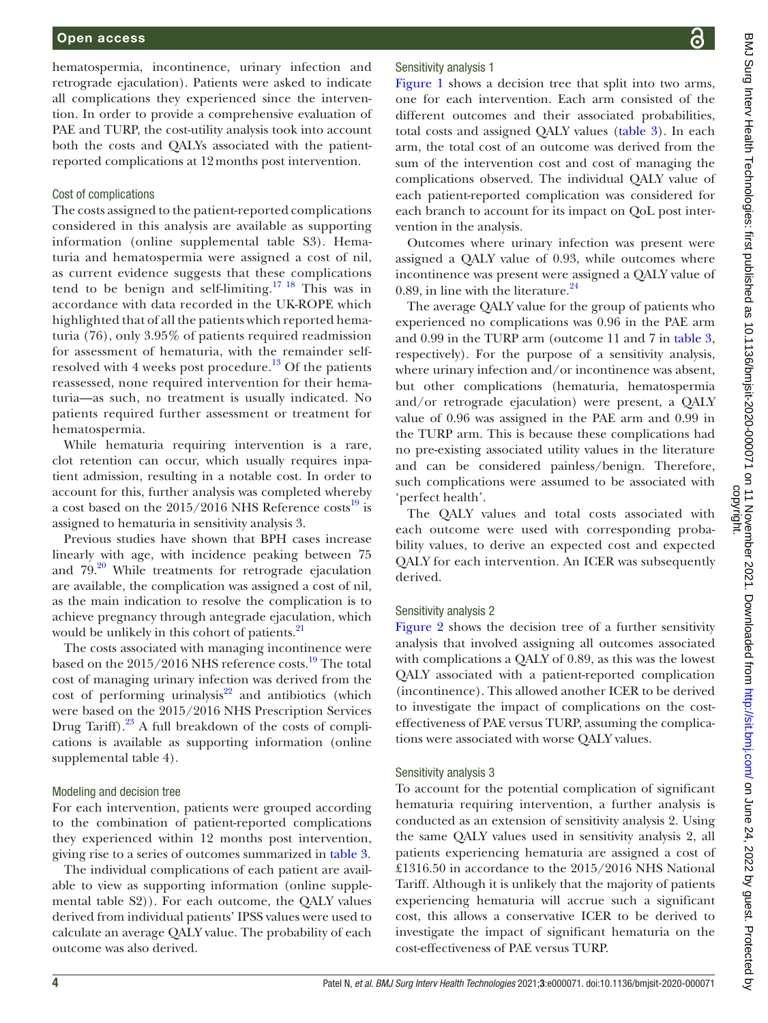hematospermia, incontinence, urinary infection and retrograde ejaculation). Patients were asked to indicate all complications they experienced since the intervention. In order to provide a comprehensive evaluation of PAE and TURP, the cost-utility analysis took into account both the costs and QALYs associated with the patientreported complications at 12months post intervention.

#### Cost of complications

The costs assigned to the patient-reported complications considered in this analysis are available as supporting information [\(online supplemental table S3\)](https://dx.doi.org/10.1136/bmjsit-2020-000071). Hematuria and hematospermia were assigned a cost of nil, as current evidence suggests that these complications tend to be benign and self-limiting.[17 18](#page-8-15) This was in accordance with data recorded in the UK-ROPE which highlighted that of all the patients which reported hematuria (76), only 3.95% of patients required readmission for assessment of hematuria, with the remainder selfresolved with 4 weeks post procedure.<sup>13</sup> Of the patients reassessed, none required intervention for their hematuria—as such, no treatment is usually indicated. No patients required further assessment or treatment for hematospermia.

While hematuria requiring intervention is a rare, clot retention can occur, which usually requires inpatient admission, resulting in a notable cost. In order to account for this, further analysis was completed whereby a cost based on the  $2015/2016$  NHS Reference costs<sup>19</sup> is assigned to hematuria in sensitivity analysis 3.

Previous studies have shown that BPH cases increase linearly with age, with incidence peaking between 75 and 79.<sup>[20](#page-8-17)</sup> While treatments for retrograde ejaculation are available, the complication was assigned a cost of nil, as the main indication to resolve the complication is to achieve pregnancy through antegrade ejaculation, which would be unlikely in this cohort of patients.<sup>21</sup>

The costs associated with managing incontinence were based on the 2015/2016 NHS reference costs.<sup>19</sup> The total cost of managing urinary infection was derived from the cost of performing urinalysis $22$  and antibiotics (which were based on the 2015/2016 NHS Prescription Services Drug Tariff).<sup>[23](#page-8-20)</sup> A full breakdown of the costs of complications is available as supporting information [\(online](https://dx.doi.org/10.1136/bmjsit-2020-000071) [supplemental table 4](https://dx.doi.org/10.1136/bmjsit-2020-000071)).

# Modeling and decision tree

For each intervention, patients were grouped according to the combination of patient-reported complications they experienced within 12 months post intervention, giving rise to a series of outcomes summarized in [table](#page-4-0) 3.

The individual complications of each patient are available to view as supporting information ([online supple](https://dx.doi.org/10.1136/bmjsit-2020-000071)[mental table S2\)](https://dx.doi.org/10.1136/bmjsit-2020-000071)). For each outcome, the QALY values derived from individual patients' IPSS values were used to calculate an average QALY value. The probability of each outcome was also derived.

# Sensitivity analysis 1

[Figure](#page-5-0) 1 shows a decision tree that split into two arms, one for each intervention. Each arm consisted of the different outcomes and their associated probabilities, total costs and assigned QALY values ([table](#page-4-0) 3). In each arm, the total cost of an outcome was derived from the sum of the intervention cost and cost of managing the complications observed. The individual QALY value of each patient-reported complication was considered for each branch to account for its impact on QoL post intervention in the analysis.

Outcomes where urinary infection was present were assigned a QALY value of 0.93, while outcomes where incontinence was present were assigned a QALY value of 0.89, in line with the literature. $24$ 

The average QALY value for the group of patients who experienced no complications was 0.96 in the PAE arm and 0.99 in the TURP arm (outcome 11 and 7 in [table](#page-4-0) 3, respectively). For the purpose of a sensitivity analysis, where urinary infection and/or incontinence was absent, but other complications (hematuria, hematospermia and/or retrograde ejaculation) were present, a QALY value of 0.96 was assigned in the PAE arm and 0.99 in the TURP arm. This is because these complications had no pre-existing associated utility values in the literature and can be considered painless/benign. Therefore, such complications were assumed to be associated with 'perfect health'.

The QALY values and total costs associated with each outcome were used with corresponding probability values, to derive an expected cost and expected QALY for each intervention. An ICER was subsequently derived.

# Sensitivity analysis 2

[Figure](#page-6-0) 2 shows the decision tree of a further sensitivity analysis that involved assigning all outcomes associated with complications a QALY of 0.89, as this was the lowest QALY associated with a patient-reported complication (incontinence). This allowed another ICER to be derived to investigate the impact of complications on the costeffectiveness of PAE versus TURP, assuming the complications were associated with worse QALY values.

# Sensitivity analysis 3

To account for the potential complication of significant hematuria requiring intervention, a further analysis is conducted as an extension of sensitivity analysis 2. Using the same QALY values used in sensitivity analysis 2, all patients experiencing hematuria are assigned a cost of £1316.50 in accordance to the 2015/2016 NHS National Tariff. Although it is unlikely that the majority of patients experiencing hematuria will accrue such a significant cost, this allows a conservative ICER to be derived to investigate the impact of significant hematuria on the cost-effectiveness of PAE versus TURP.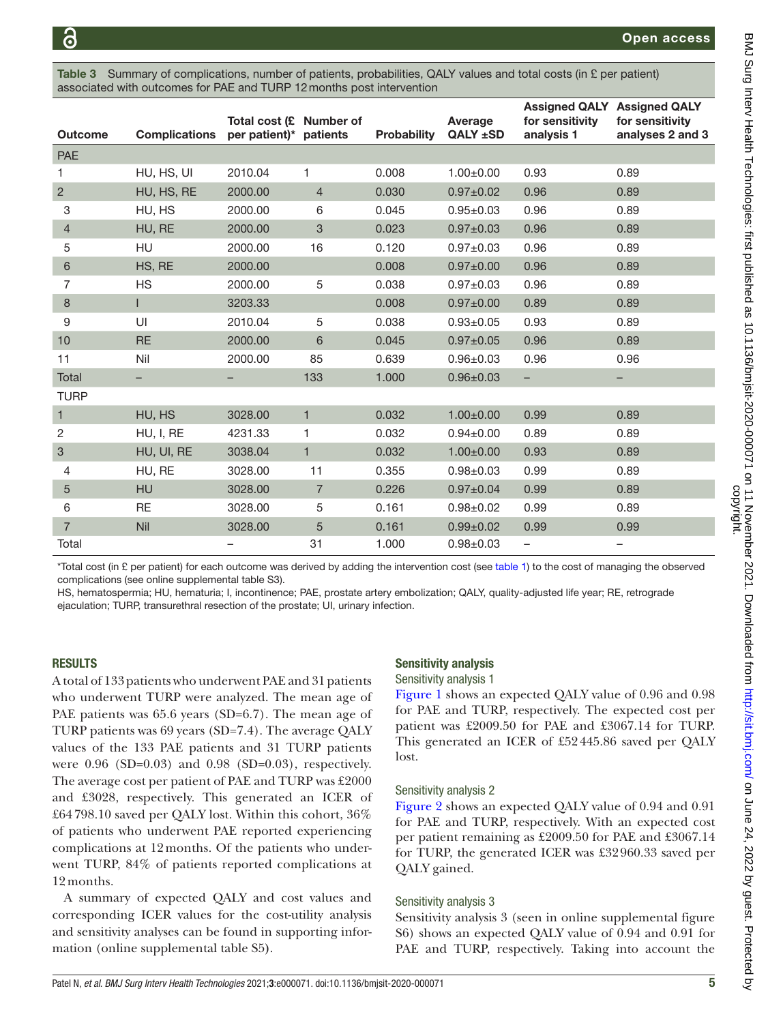<span id="page-4-0"></span>Summary of complications, number of patients, probabilities, QALY values and total costs (in  $E$  per patient) associated with outcomes for PAE and TURP 12months post intervention

| <b>Outcome</b> | <b>Complications</b> | Total cost (£ Number of<br>per patient)* patients |                | <b>Probability</b> | Average<br>QALY ±SD | for sensitivity<br>analysis 1 | <b>Assigned QALY Assigned QALY</b><br>for sensitivity<br>analyses 2 and 3 |
|----------------|----------------------|---------------------------------------------------|----------------|--------------------|---------------------|-------------------------------|---------------------------------------------------------------------------|
| <b>PAE</b>     |                      |                                                   |                |                    |                     |                               |                                                                           |
| 1              | HU, HS, UI           | 2010.04                                           | 1              | 0.008              | $1.00 \pm 0.00$     | 0.93                          | 0.89                                                                      |
| $\overline{2}$ | HU, HS, RE           | 2000.00                                           | $\overline{4}$ | 0.030              | $0.97 \pm 0.02$     | 0.96                          | 0.89                                                                      |
| 3              | HU, HS               | 2000.00                                           | 6              | 0.045              | $0.95 \pm 0.03$     | 0.96                          | 0.89                                                                      |
| 4              | HU, RE               | 2000.00                                           | 3              | 0.023              | $0.97 \pm 0.03$     | 0.96                          | 0.89                                                                      |
| 5              | <b>HU</b>            | 2000.00                                           | 16             | 0.120              | $0.97 + 0.03$       | 0.96                          | 0.89                                                                      |
| 6              | HS, RE               | 2000.00                                           |                | 0.008              | $0.97 \pm 0.00$     | 0.96                          | 0.89                                                                      |
| $\overline{7}$ | <b>HS</b>            | 2000.00                                           | 5              | 0.038              | $0.97 + 0.03$       | 0.96                          | 0.89                                                                      |
| 8              | T                    | 3203.33                                           |                | 0.008              | $0.97 + 0.00$       | 0.89                          | 0.89                                                                      |
| 9              | UI                   | 2010.04                                           | 5              | 0.038              | $0.93 \pm 0.05$     | 0.93                          | 0.89                                                                      |
| 10             | <b>RE</b>            | 2000.00                                           | 6              | 0.045              | $0.97 \pm 0.05$     | 0.96                          | 0.89                                                                      |
| 11             | Nil                  | 2000.00                                           | 85             | 0.639              | $0.96 \pm 0.03$     | 0.96                          | 0.96                                                                      |
| Total          |                      |                                                   | 133            | 1.000              | $0.96 \pm 0.03$     | -                             | -                                                                         |
| <b>TURP</b>    |                      |                                                   |                |                    |                     |                               |                                                                           |
| $\mathbf{1}$   | HU, HS               | 3028.00                                           | $\mathbf{1}$   | 0.032              | $1.00 \pm 0.00$     | 0.99                          | 0.89                                                                      |
| 2              | HU, I, RE            | 4231.33                                           | 1              | 0.032              | $0.94 \pm 0.00$     | 0.89                          | 0.89                                                                      |
| 3              | HU, UI, RE           | 3038.04                                           | $\mathbf{1}$   | 0.032              | $1.00 \pm 0.00$     | 0.93                          | 0.89                                                                      |
| 4              | HU, RE               | 3028.00                                           | 11             | 0.355              | $0.98 + 0.03$       | 0.99                          | 0.89                                                                      |
| 5              | <b>HU</b>            | 3028.00                                           | $\overline{7}$ | 0.226              | $0.97 \pm 0.04$     | 0.99                          | 0.89                                                                      |
| 6              | <b>RE</b>            | 3028.00                                           | 5              | 0.161              | $0.98 + 0.02$       | 0.99                          | 0.89                                                                      |
| $\overline{7}$ | Nil                  | 3028.00                                           | 5              | 0.161              | $0.99 \pm 0.02$     | 0.99                          | 0.99                                                                      |
| Total          |                      |                                                   | 31             | 1.000              | $0.98 + 0.03$       | $\overline{\phantom{a}}$      | -                                                                         |

\*Total cost (in £ per patient) for each outcome was derived by adding the intervention cost (see [table 1\)](#page-2-0) to the cost of managing the observed complications (see [online supplemental table S3\)](https://dx.doi.org/10.1136/bmjsit-2020-000071).

HS, hematospermia; HU, hematuria; I, incontinence; PAE, prostate artery embolization; QALY, quality-adjusted life year; RE, retrograde ejaculation; TURP, transurethral resection of the prostate; UI, urinary infection.

# RESULTS

A total of 133 patients who underwent PAE and 31 patients who underwent TURP were analyzed. The mean age of PAE patients was 65.6 years (SD=6.7). The mean age of TURP patients was 69 years (SD=7.4). The average QALY values of the 133 PAE patients and 31 TURP patients were 0.96 (SD=0.03) and 0.98 (SD=0.03), respectively. The average cost per patient of PAE and TURP was £2000 and £3028, respectively. This generated an ICER of £64 798.10 saved per QALY lost. Within this cohort, 36% of patients who underwent PAE reported experiencing complications at 12months. Of the patients who underwent TURP, 84% of patients reported complications at 12months.

A summary of expected QALY and cost values and corresponding ICER values for the cost-utility analysis and sensitivity analyses can be found in supporting information [\(online supplemental table S5](https://dx.doi.org/10.1136/bmjsit-2020-000071)**)**.

# Sensitivity analysis

# Sensitivity analysis 1

[Figure](#page-5-0) 1 shows an expected QALY value of 0.96 and 0.98 for PAE and TURP, respectively. The expected cost per patient was £2009.50 for PAE and £3067.14 for TURP. This generated an ICER of £52445.86 saved per QALY lost.

#### Sensitivity analysis 2

[Figure](#page-6-0) 2 shows an expected QALY value of 0.94 and 0.91 for PAE and TURP, respectively. With an expected cost per patient remaining as £2009.50 for PAE and £3067.14 for TURP, the generated ICER was £32960.33 saved per QALY gained.

# Sensitivity analysis 3

Sensitivity analysis 3 (seen in [online supplemental figure](https://dx.doi.org/10.1136/bmjsit-2020-000071)  [S6](https://dx.doi.org/10.1136/bmjsit-2020-000071)) shows an expected QALY value of 0.94 and 0.91 for PAE and TURP, respectively. Taking into account the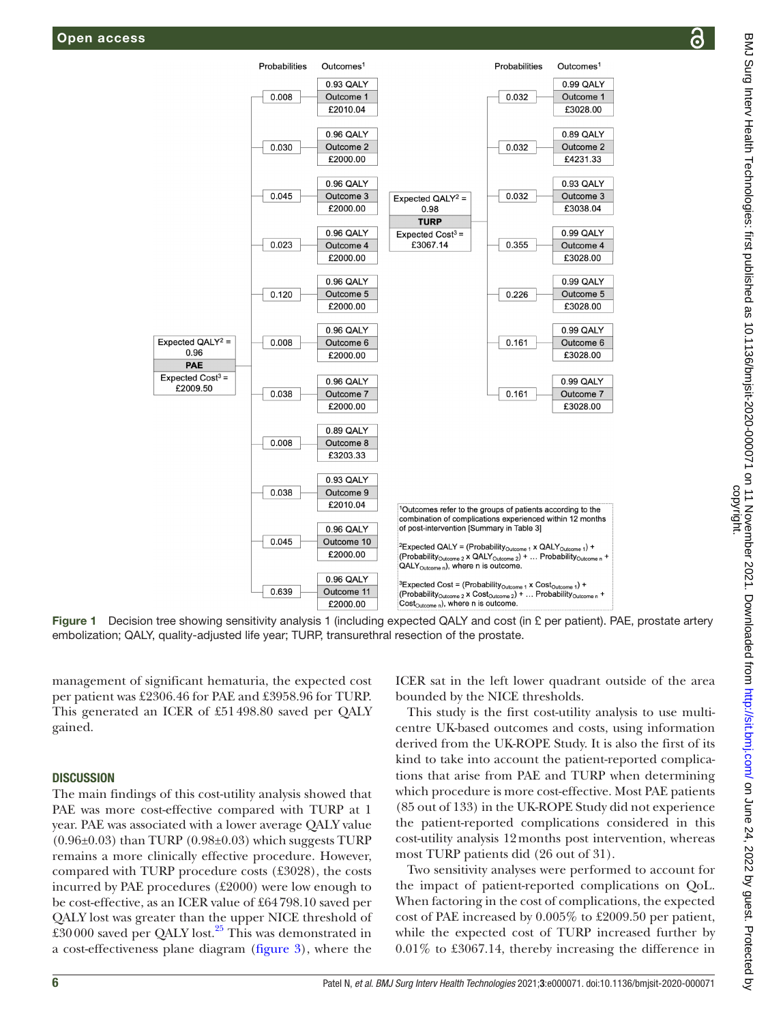

Figure 1 Decision tree showing sensitivity analysis 1 (including expected QALY and cost (in £ per patient). PAE, prostate artery embolization; QALY, quality-adjusted life year; TURP, transurethral resection of the prostate.

management of significant hematuria, the expected cost per patient was £2306.46 for PAE and £3958.96 for TURP. This generated an ICER of £51498.80 saved per QALY gained.

#### **DISCUSSION**

The main findings of this cost-utility analysis showed that PAE was more cost-effective compared with TURP at 1 year. PAE was associated with a lower average QALY value  $(0.96\pm0.03)$  than TURP  $(0.98\pm0.03)$  which suggests TURP remains a more clinically effective procedure. However, compared with TURP procedure costs (£3028), the costs incurred by PAE procedures (£2000) were low enough to be cost-effective, as an ICER value of £64798.10 saved per QALY lost was greater than the upper NICE threshold of £30000 saved per QALY lost. $25$  This was demonstrated in a cost-effectiveness plane diagram ([figure](#page-6-1) 3), where the

<span id="page-5-0"></span>ICER sat in the left lower quadrant outside of the area bounded by the NICE thresholds.

This study is the first cost-utility analysis to use multicentre UK-based outcomes and costs, using information derived from the UK-ROPE Study. It is also the first of its kind to take into account the patient-reported complications that arise from PAE and TURP when determining which procedure is more cost-effective. Most PAE patients (85 out of 133) in the UK-ROPE Study did not experience the patient-reported complications considered in this cost-utility analysis 12months post intervention, whereas most TURP patients did (26 out of 31).

Two sensitivity analyses were performed to account for the impact of patient-reported complications on QoL. When factoring in the cost of complications, the expected cost of PAE increased by 0.005% to £2009.50 per patient, while the expected cost of TURP increased further by 0.01% to £3067.14, thereby increasing the difference in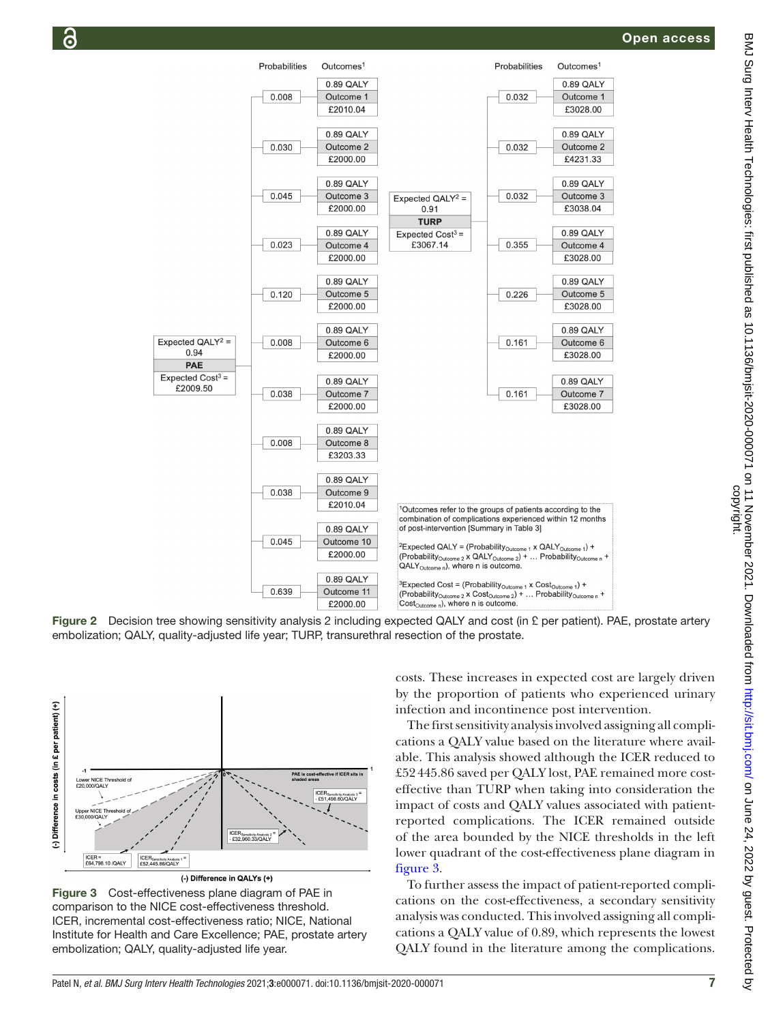

Figure 2 Decision tree showing sensitivity analysis 2 including expected QALY and cost (in £ per patient). PAE, prostate artery embolization; QALY, quality-adjusted life year; TURP, transurethral resection of the prostate.



(-) Difference in QALYs (+)

<span id="page-6-1"></span>Figure 3 Cost-effectiveness plane diagram of PAE in comparison to the NICE cost-effectiveness threshold. ICER, incremental cost-effectiveness ratio; NICE, National Institute for Health and Care Excellence; PAE, prostate artery embolization; QALY, quality-adjusted life year.

<span id="page-6-0"></span>costs. These increases in expected cost are largely driven by the proportion of patients who experienced urinary infection and incontinence post intervention.

The first sensitivity analysis involved assigning all complications a QALY value based on the literature where available. This analysis showed although the ICER reduced to £52445.86 saved per QALY lost, PAE remained more costeffective than TURP when taking into consideration the impact of costs and QALY values associated with patientreported complications. The ICER remained outside of the area bounded by the NICE thresholds in the left lower quadrant of the cost-effectiveness plane diagram in [figure](#page-6-1) 3.

To further assess the impact of patient-reported complications on the cost-effectiveness, a secondary sensitivity analysis was conducted. This involved assigning all complications a QALY value of 0.89, which represents the lowest QALY found in the literature among the complications.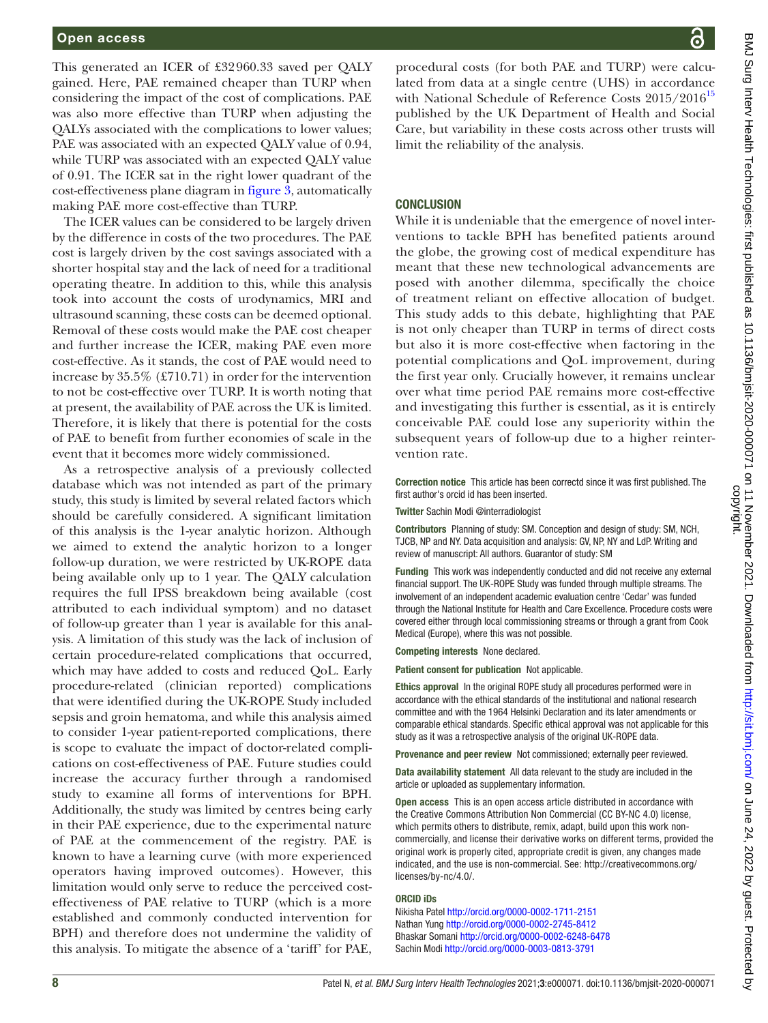This generated an ICER of £32960.33 saved per QALY gained. Here, PAE remained cheaper than TURP when considering the impact of the cost of complications. PAE was also more effective than TURP when adjusting the QALYs associated with the complications to lower values; PAE was associated with an expected QALY value of 0.94, while TURP was associated with an expected QALY value of 0.91. The ICER sat in the right lower quadrant of the cost-effectiveness plane diagram in [figure](#page-6-1) 3, automatically making PAE more cost-effective than TURP.

The ICER values can be considered to be largely driven by the difference in costs of the two procedures. The PAE cost is largely driven by the cost savings associated with a shorter hospital stay and the lack of need for a traditional operating theatre. In addition to this, while this analysis took into account the costs of urodynamics, MRI and ultrasound scanning, these costs can be deemed optional. Removal of these costs would make the PAE cost cheaper and further increase the ICER, making PAE even more cost-effective. As it stands, the cost of PAE would need to increase by 35.5% (£710.71) in order for the intervention to not be cost-effective over TURP. It is worth noting that at present, the availability of PAE across the UK is limited. Therefore, it is likely that there is potential for the costs of PAE to benefit from further economies of scale in the event that it becomes more widely commissioned.

As a retrospective analysis of a previously collected database which was not intended as part of the primary study, this study is limited by several related factors which should be carefully considered. A significant limitation of this analysis is the 1-year analytic horizon. Although we aimed to extend the analytic horizon to a longer follow-up duration, we were restricted by UK-ROPE data being available only up to 1 year. The QALY calculation requires the full IPSS breakdown being available (cost attributed to each individual symptom) and no dataset of follow-up greater than 1 year is available for this analysis. A limitation of this study was the lack of inclusion of certain procedure-related complications that occurred, which may have added to costs and reduced QoL. Early procedure-related (clinician reported) complications that were identified during the UK-ROPE Study included sepsis and groin hematoma, and while this analysis aimed to consider 1-year patient-reported complications, there is scope to evaluate the impact of doctor-related complications on cost-effectiveness of PAE. Future studies could increase the accuracy further through a randomised study to examine all forms of interventions for BPH. Additionally, the study was limited by centres being early in their PAE experience, due to the experimental nature of PAE at the commencement of the registry. PAE is known to have a learning curve (with more experienced operators having improved outcomes). However, this limitation would only serve to reduce the perceived costeffectiveness of PAE relative to TURP (which is a more established and commonly conducted intervention for BPH) and therefore does not undermine the validity of this analysis. To mitigate the absence of a 'tariff' for PAE,

procedural costs (for both PAE and TURP) were calculated from data at a single centre (UHS) in accordance with National Schedule of Reference Costs  $2015/2016^{15}$  $2015/2016^{15}$  $2015/2016^{15}$ published by the UK Department of Health and Social Care, but variability in these costs across other trusts will limit the reliability of the analysis.

#### **CONCLUSION**

While it is undeniable that the emergence of novel interventions to tackle BPH has benefited patients around the globe, the growing cost of medical expenditure has meant that these new technological advancements are posed with another dilemma, specifically the choice of treatment reliant on effective allocation of budget. This study adds to this debate, highlighting that PAE is not only cheaper than TURP in terms of direct costs but also it is more cost-effective when factoring in the potential complications and QoL improvement, during the first year only. Crucially however, it remains unclear over what time period PAE remains more cost-effective and investigating this further is essential, as it is entirely conceivable PAE could lose any superiority within the subsequent years of follow-up due to a higher reintervention rate.

Correction notice This article has been correctd since it was first published. The first author's orcid id has been inserted.

Twitter Sachin Modi [@interradiologist](https://twitter.com/interradiologist)

Contributors Planning of study: SM. Conception and design of study: SM, NCH, TJCB, NP and NY. Data acquisition and analysis: GV, NP, NY and LdP. Writing and review of manuscript: All authors. Guarantor of study: SM

Funding This work was independently conducted and did not receive any external financial support. The UK-ROPE Study was funded through multiple streams. The involvement of an independent academic evaluation centre 'Cedar' was funded through the National Institute for Health and Care Excellence. Procedure costs were covered either through local commissioning streams or through a grant from Cook Medical (Europe), where this was not possible.

Competing interests None declared.

Patient consent for publication Not applicable.

Ethics approval In the original ROPE study all procedures performed were in accordance with the ethical standards of the institutional and national research committee and with the 1964 Helsinki Declaration and its later amendments or comparable ethical standards. Specific ethical approval was not applicable for this study as it was a retrospective analysis of the original UK-ROPE data.

Provenance and peer review Not commissioned; externally peer reviewed.

Data availability statement All data relevant to the study are included in the article or uploaded as supplementary information.

Open access This is an open access article distributed in accordance with the Creative Commons Attribution Non Commercial (CC BY-NC 4.0) license, which permits others to distribute, remix, adapt, build upon this work noncommercially, and license their derivative works on different terms, provided the original work is properly cited, appropriate credit is given, any changes made indicated, and the use is non-commercial. See: [http://creativecommons.org/](http://creativecommons.org/licenses/by-nc/4.0/) [licenses/by-nc/4.0/](http://creativecommons.org/licenses/by-nc/4.0/).

#### ORCID iDs

Nikisha Patel<http://orcid.org/0000-0002-1711-2151> Nathan Yung<http://orcid.org/0000-0002-2745-8412> Bhaskar Somani<http://orcid.org/0000-0002-6248-6478> Sachin Modi<http://orcid.org/0000-0003-0813-3791>